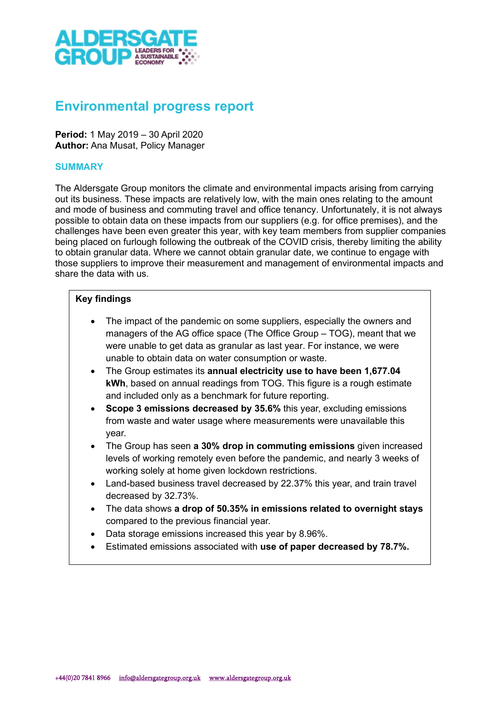

# Environmental progress report

Period: 1 May 2019 – 30 April 2020 Author: Ana Musat, Policy Manager

### **SUMMARY**

The Aldersgate Group monitors the climate and environmental impacts arising from carrying out its business. These impacts are relatively low, with the main ones relating to the amount and mode of business and commuting travel and office tenancy. Unfortunately, it is not always possible to obtain data on these impacts from our suppliers (e.g. for office premises), and the challenges have been even greater this year, with key team members from supplier companies being placed on furlough following the outbreak of the COVID crisis, thereby limiting the ability to obtain granular data. Where we cannot obtain granular date, we continue to engage with those suppliers to improve their measurement and management of environmental impacts and share the data with us.

## Key findings

- The impact of the pandemic on some suppliers, especially the owners and managers of the AG office space (The Office Group – TOG), meant that we were unable to get data as granular as last year. For instance, we were unable to obtain data on water consumption or waste.
- The Group estimates its annual electricity use to have been 1,677.04 kWh, based on annual readings from TOG. This figure is a rough estimate and included only as a benchmark for future reporting.
- Scope 3 emissions decreased by 35.6% this year, excluding emissions from waste and water usage where measurements were unavailable this year.
- The Group has seen a 30% drop in commuting emissions given increased levels of working remotely even before the pandemic, and nearly 3 weeks of working solely at home given lockdown restrictions.
- Land-based business travel decreased by 22.37% this year, and train travel decreased by 32.73%.
- The data shows a drop of 50.35% in emissions related to overnight stays compared to the previous financial year.
- Data storage emissions increased this year by 8.96%.
- **Estimated emissions associated with use of paper decreased by 78.7%.**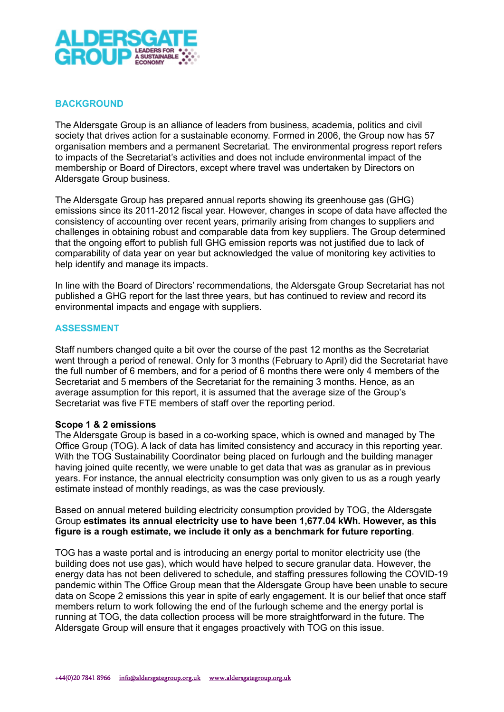

# BACKGROUND

The Aldersgate Group is an alliance of leaders from business, academia, politics and civil society that drives action for a sustainable economy. Formed in 2006, the Group now has 57 organisation members and a permanent Secretariat. The environmental progress report refers to impacts of the Secretariat's activities and does not include environmental impact of the membership or Board of Directors, except where travel was undertaken by Directors on Aldersgate Group business.

The Aldersgate Group has prepared annual reports showing its greenhouse gas (GHG) emissions since its 2011-2012 fiscal year. However, changes in scope of data have affected the consistency of accounting over recent years, primarily arising from changes to suppliers and challenges in obtaining robust and comparable data from key suppliers. The Group determined that the ongoing effort to publish full GHG emission reports was not justified due to lack of comparability of data year on year but acknowledged the value of monitoring key activities to help identify and manage its impacts.

In line with the Board of Directors' recommendations, the Aldersgate Group Secretariat has not published a GHG report for the last three years, but has continued to review and record its environmental impacts and engage with suppliers.

## ASSESSMENT

Staff numbers changed quite a bit over the course of the past 12 months as the Secretariat went through a period of renewal. Only for 3 months (February to April) did the Secretariat have the full number of 6 members, and for a period of 6 months there were only 4 members of the Secretariat and 5 members of the Secretariat for the remaining 3 months. Hence, as an average assumption for this report, it is assumed that the average size of the Group's Secretariat was five FTE members of staff over the reporting period.

#### Scope 1 & 2 emissions

The Aldersgate Group is based in a co-working space, which is owned and managed by The Office Group (TOG). A lack of data has limited consistency and accuracy in this reporting year. With the TOG Sustainability Coordinator being placed on furlough and the building manager having joined quite recently, we were unable to get data that was as granular as in previous years. For instance, the annual electricity consumption was only given to us as a rough yearly estimate instead of monthly readings, as was the case previously.

Based on annual metered building electricity consumption provided by TOG, the Aldersgate Group estimates its annual electricity use to have been 1,677.04 kWh. However, as this figure is a rough estimate, we include it only as a benchmark for future reporting.

TOG has a waste portal and is introducing an energy portal to monitor electricity use (the building does not use gas), which would have helped to secure granular data. However, the energy data has not been delivered to schedule, and staffing pressures following the COVID-19 pandemic within The Office Group mean that the Aldersgate Group have been unable to secure data on Scope 2 emissions this year in spite of early engagement. It is our belief that once staff members return to work following the end of the furlough scheme and the energy portal is running at TOG, the data collection process will be more straightforward in the future. The Aldersgate Group will ensure that it engages proactively with TOG on this issue.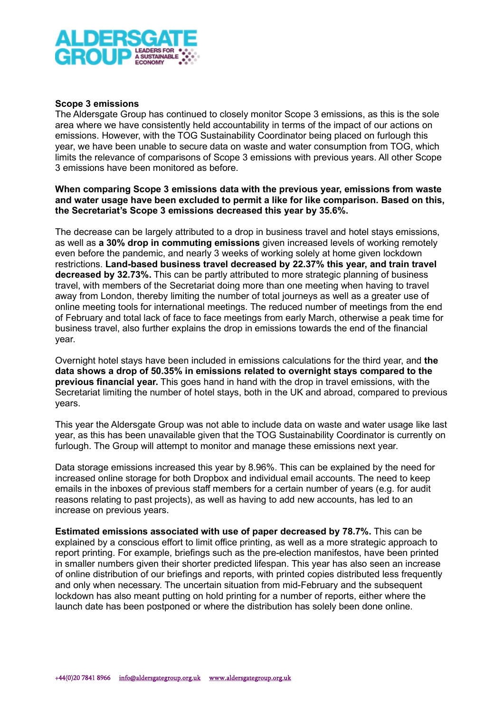

### Scope 3 emissions

The Aldersgate Group has continued to closely monitor Scope 3 emissions, as this is the sole area where we have consistently held accountability in terms of the impact of our actions on emissions. However, with the TOG Sustainability Coordinator being placed on furlough this year, we have been unable to secure data on waste and water consumption from TOG, which limits the relevance of comparisons of Scope 3 emissions with previous years. All other Scope 3 emissions have been monitored as before.

### When comparing Scope 3 emissions data with the previous year, emissions from waste and water usage have been excluded to permit a like for like comparison. Based on this, the Secretariat's Scope 3 emissions decreased this year by 35.6%.

The decrease can be largely attributed to a drop in business travel and hotel stays emissions, as well as a 30% drop in commuting emissions given increased levels of working remotely even before the pandemic, and nearly 3 weeks of working solely at home given lockdown restrictions. Land-based business travel decreased by 22.37% this year, and train travel decreased by 32.73%. This can be partly attributed to more strategic planning of business travel, with members of the Secretariat doing more than one meeting when having to travel away from London, thereby limiting the number of total journeys as well as a greater use of online meeting tools for international meetings. The reduced number of meetings from the end of February and total lack of face to face meetings from early March, otherwise a peak time for business travel, also further explains the drop in emissions towards the end of the financial year.

Overnight hotel stays have been included in emissions calculations for the third year, and the data shows a drop of 50.35% in emissions related to overnight stays compared to the previous financial year. This goes hand in hand with the drop in travel emissions, with the Secretariat limiting the number of hotel stays, both in the UK and abroad, compared to previous years.

This year the Aldersgate Group was not able to include data on waste and water usage like last year, as this has been unavailable given that the TOG Sustainability Coordinator is currently on furlough. The Group will attempt to monitor and manage these emissions next year.

Data storage emissions increased this year by 8.96%. This can be explained by the need for increased online storage for both Dropbox and individual email accounts. The need to keep emails in the inboxes of previous staff members for a certain number of years (e.g. for audit reasons relating to past projects), as well as having to add new accounts, has led to an increase on previous years.

Estimated emissions associated with use of paper decreased by 78.7%. This can be explained by a conscious effort to limit office printing, as well as a more strategic approach to report printing. For example, briefings such as the pre-election manifestos, have been printed in smaller numbers given their shorter predicted lifespan. This year has also seen an increase of online distribution of our briefings and reports, with printed copies distributed less frequently and only when necessary. The uncertain situation from mid-February and the subsequent lockdown has also meant putting on hold printing for a number of reports, either where the launch date has been postponed or where the distribution has solely been done online.